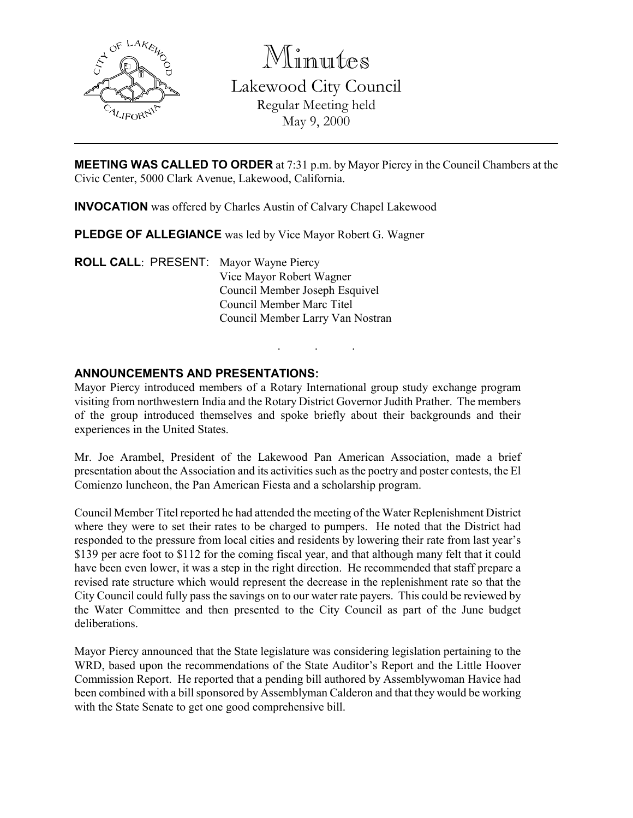

Minutes

Lakewood City Council Regular Meeting held May 9, 2000

**MEETING WAS CALLED TO ORDER** at 7:31 p.m. by Mayor Piercy in the Council Chambers at the Civic Center, 5000 Clark Avenue, Lakewood, California.

INVOCATION was offered by Charles Austin of Calvary Chapel Lakewood

PLEDGE OF ALLEGIANCE was led by Vice Mayor Robert G. Wagner

ROLL CALL: PRESENT: Mayor Wayne Piercy Vice Mayor Robert Wagner Council Member Joseph Esquivel Council Member Marc Titel Council Member Larry Van Nostran

## ANNOUNCEMENTS AND PRESENTATIONS:

Mayor Piercy introduced members of a Rotary International group study exchange program visiting from northwestern India and the Rotary District Governor Judith Prather. The members of the group introduced themselves and spoke briefly about their backgrounds and their experiences in the United States.

. . .

Mr. Joe Arambel, President of the Lakewood Pan American Association, made a brief presentation about the Association and its activities such as the poetry and poster contests, the El Comienzo luncheon, the Pan American Fiesta and a scholarship program.

Council Member Titel reported he had attended the meeting of the Water Replenishment District where they were to set their rates to be charged to pumpers. He noted that the District had responded to the pressure from local cities and residents by lowering their rate from last year's \$139 per acre foot to \$112 for the coming fiscal year, and that although many felt that it could have been even lower, it was a step in the right direction. He recommended that staff prepare a revised rate structure which would represent the decrease in the replenishment rate so that the City Council could fully pass the savings on to our water rate payers. This could be reviewed by the Water Committee and then presented to the City Council as part of the June budget deliberations.

Mayor Piercy announced that the State legislature was considering legislation pertaining to the WRD, based upon the recommendations of the State Auditor's Report and the Little Hoover Commission Report. He reported that a pending bill authored by Assemblywoman Havice had been combined with a bill sponsored by Assemblyman Calderon and that they would be working with the State Senate to get one good comprehensive bill.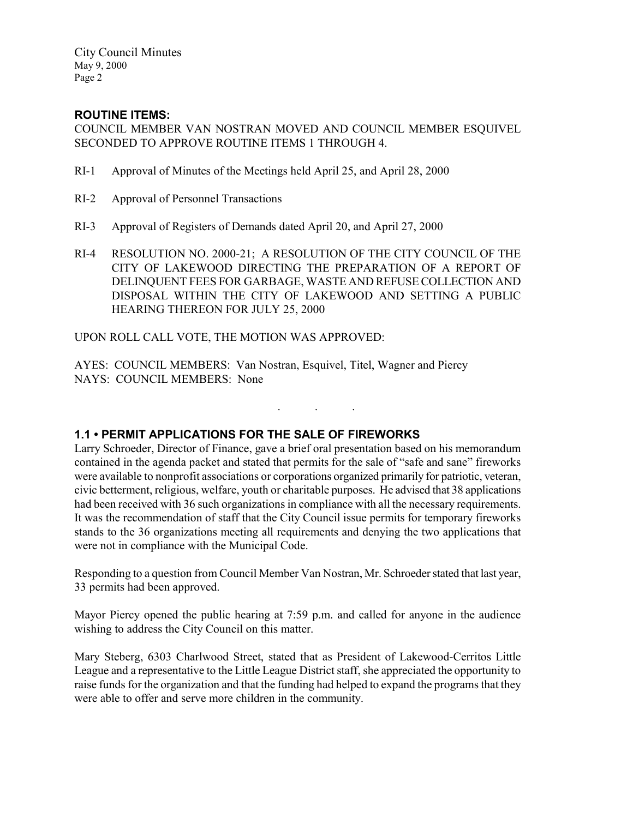City Council Minutes May 9, 2000 Page 2

## ROUTINE ITEMS:

COUNCIL MEMBER VAN NOSTRAN MOVED AND COUNCIL MEMBER ESQUIVEL SECONDED TO APPROVE ROUTINE ITEMS 1 THROUGH 4.

- RI-1 Approval of Minutes of the Meetings held April 25, and April 28, 2000
- RI-2 Approval of Personnel Transactions
- RI-3 Approval of Registers of Demands dated April 20, and April 27, 2000
- RI-4 RESOLUTION NO. 2000-21; A RESOLUTION OF THE CITY COUNCIL OF THE CITY OF LAKEWOOD DIRECTING THE PREPARATION OF A REPORT OF DELINQUENT FEES FOR GARBAGE, WASTE AND REFUSE COLLECTION AND DISPOSAL WITHIN THE CITY OF LAKEWOOD AND SETTING A PUBLIC HEARING THEREON FOR JULY 25, 2000

UPON ROLL CALL VOTE, THE MOTION WAS APPROVED:

AYES: COUNCIL MEMBERS: Van Nostran, Esquivel, Titel, Wagner and Piercy NAYS: COUNCIL MEMBERS: None

## 1.1 • PERMIT APPLICATIONS FOR THE SALE OF FIREWORKS

Larry Schroeder, Director of Finance, gave a brief oral presentation based on his memorandum contained in the agenda packet and stated that permits for the sale of "safe and sane" fireworks were available to nonprofit associations or corporations organized primarily for patriotic, veteran, civic betterment, religious, welfare, youth or charitable purposes. He advised that 38 applications had been received with 36 such organizations in compliance with all the necessary requirements. It was the recommendation of staff that the City Council issue permits for temporary fireworks stands to the 36 organizations meeting all requirements and denying the two applications that were not in compliance with the Municipal Code.

. . .

Responding to a question from Council Member Van Nostran, Mr. Schroeder stated that last year, 33 permits had been approved.

Mayor Piercy opened the public hearing at 7:59 p.m. and called for anyone in the audience wishing to address the City Council on this matter.

Mary Steberg, 6303 Charlwood Street, stated that as President of Lakewood-Cerritos Little League and a representative to the Little League District staff, she appreciated the opportunity to raise funds for the organization and that the funding had helped to expand the programs that they were able to offer and serve more children in the community.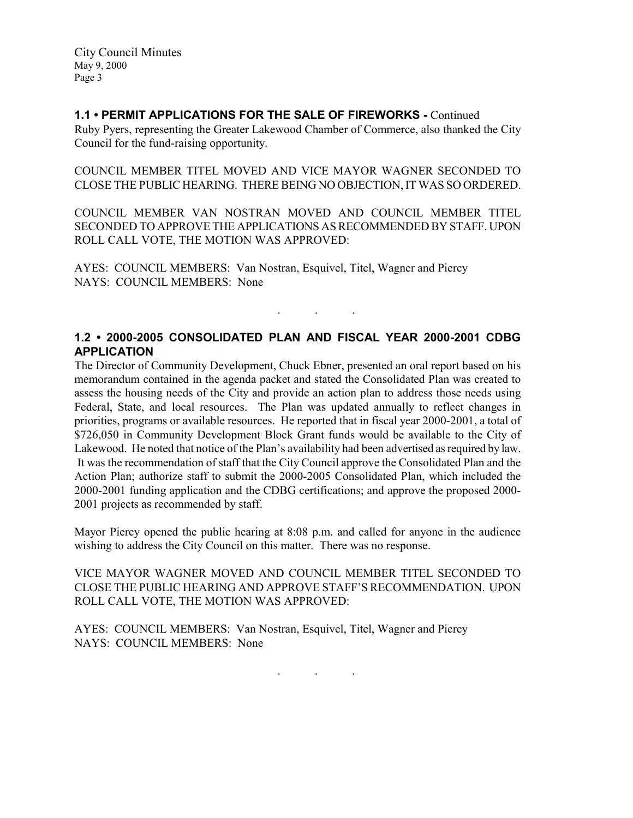City Council Minutes May 9, 2000 Page 3

## 1.1 • PERMIT APPLICATIONS FOR THE SALE OF FIREWORKS - Continued

Ruby Pyers, representing the Greater Lakewood Chamber of Commerce, also thanked the City Council for the fund-raising opportunity.

COUNCIL MEMBER TITEL MOVED AND VICE MAYOR WAGNER SECONDED TO CLOSE THE PUBLIC HEARING. THERE BEING NO OBJECTION, IT WAS SO ORDERED.

COUNCIL MEMBER VAN NOSTRAN MOVED AND COUNCIL MEMBER TITEL SECONDED TO APPROVE THE APPLICATIONS AS RECOMMENDED BY STAFF. UPON ROLL CALL VOTE, THE MOTION WAS APPROVED:

AYES: COUNCIL MEMBERS: Van Nostran, Esquivel, Titel, Wagner and Piercy NAYS: COUNCIL MEMBERS: None

## 1.2 • 2000-2005 CONSOLIDATED PLAN AND FISCAL YEAR 2000-2001 CDBG APPLICATION

. The set of the set of the  $\mathcal{O}_\mathcal{A}$ 

The Director of Community Development, Chuck Ebner, presented an oral report based on his memorandum contained in the agenda packet and stated the Consolidated Plan was created to assess the housing needs of the City and provide an action plan to address those needs using Federal, State, and local resources. The Plan was updated annually to reflect changes in priorities, programs or available resources. He reported that in fiscal year 2000-2001, a total of \$726,050 in Community Development Block Grant funds would be available to the City of Lakewood. He noted that notice of the Plan's availability had been advertised as required by law. It was the recommendation of staff that the City Council approve the Consolidated Plan and the Action Plan; authorize staff to submit the 2000-2005 Consolidated Plan, which included the 2000-2001 funding application and the CDBG certifications; and approve the proposed 2000- 2001 projects as recommended by staff.

Mayor Piercy opened the public hearing at 8:08 p.m. and called for anyone in the audience wishing to address the City Council on this matter. There was no response.

VICE MAYOR WAGNER MOVED AND COUNCIL MEMBER TITEL SECONDED TO CLOSE THE PUBLIC HEARING AND APPROVE STAFF'S RECOMMENDATION. UPON ROLL CALL VOTE, THE MOTION WAS APPROVED:

AYES: COUNCIL MEMBERS: Van Nostran, Esquivel, Titel, Wagner and Piercy NAYS: COUNCIL MEMBERS: None

. . .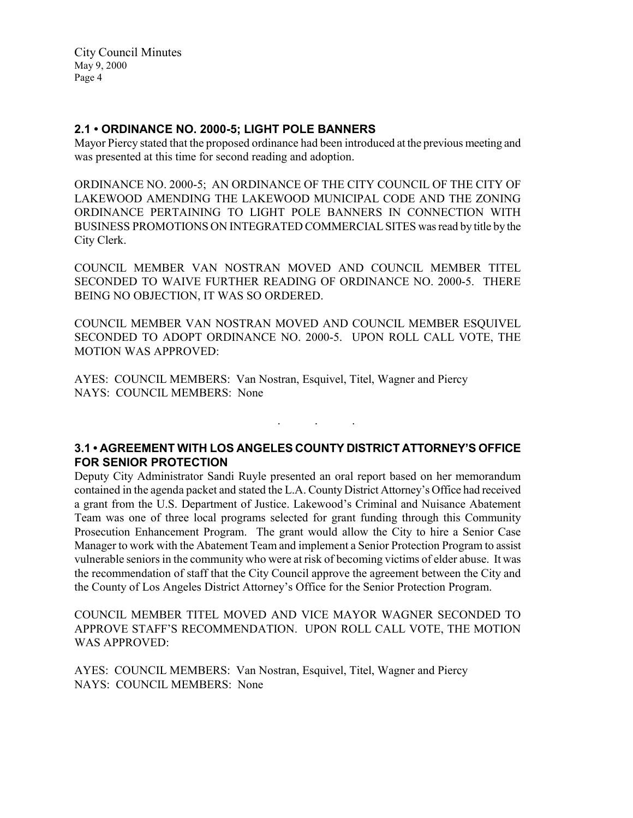City Council Minutes May 9, 2000 Page 4

### 2.1 • ORDINANCE NO. 2000-5; LIGHT POLE BANNERS

Mayor Piercy stated that the proposed ordinance had been introduced at the previous meeting and was presented at this time for second reading and adoption.

ORDINANCE NO. 2000-5; AN ORDINANCE OF THE CITY COUNCIL OF THE CITY OF LAKEWOOD AMENDING THE LAKEWOOD MUNICIPAL CODE AND THE ZONING ORDINANCE PERTAINING TO LIGHT POLE BANNERS IN CONNECTION WITH BUSINESS PROMOTIONS ON INTEGRATED COMMERCIAL SITES was read by title by the City Clerk.

COUNCIL MEMBER VAN NOSTRAN MOVED AND COUNCIL MEMBER TITEL SECONDED TO WAIVE FURTHER READING OF ORDINANCE NO. 2000-5. THERE BEING NO OBJECTION, IT WAS SO ORDERED.

COUNCIL MEMBER VAN NOSTRAN MOVED AND COUNCIL MEMBER ESQUIVEL SECONDED TO ADOPT ORDINANCE NO. 2000-5. UPON ROLL CALL VOTE, THE MOTION WAS APPROVED:

AYES: COUNCIL MEMBERS: Van Nostran, Esquivel, Titel, Wagner and Piercy NAYS: COUNCIL MEMBERS: None

. . .

## 3.1 • AGREEMENT WITH LOS ANGELES COUNTY DISTRICT ATTORNEY'S OFFICE FOR SENIOR PROTECTION

Deputy City Administrator Sandi Ruyle presented an oral report based on her memorandum contained in the agenda packet and stated the L.A. County District Attorney's Office had received a grant from the U.S. Department of Justice. Lakewood's Criminal and Nuisance Abatement Team was one of three local programs selected for grant funding through this Community Prosecution Enhancement Program. The grant would allow the City to hire a Senior Case Manager to work with the Abatement Team and implement a Senior Protection Program to assist vulnerable seniors in the community who were at risk of becoming victims of elder abuse. It was the recommendation of staff that the City Council approve the agreement between the City and the County of Los Angeles District Attorney's Office for the Senior Protection Program.

COUNCIL MEMBER TITEL MOVED AND VICE MAYOR WAGNER SECONDED TO APPROVE STAFF'S RECOMMENDATION. UPON ROLL CALL VOTE, THE MOTION WAS APPROVED:

AYES: COUNCIL MEMBERS: Van Nostran, Esquivel, Titel, Wagner and Piercy NAYS: COUNCIL MEMBERS: None